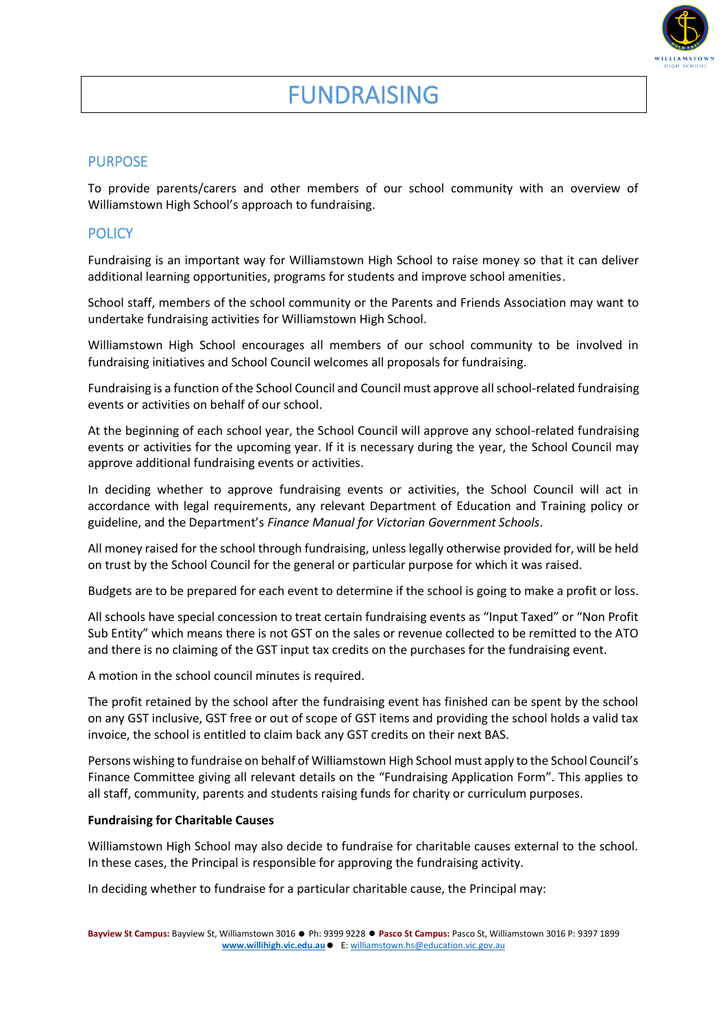

#### PURPOSE

To provide parents/carers and other members of our school community with an overview of Williamstown High School's approach to fundraising.

## **POLICY**

Fundraising is an important way for Williamstown High School to raise money so that it can deliver additional learning opportunities, programs for students and improve school amenities.

School staff, members of the school community or the Parents and Friends Association may want to undertake fundraising activities for Williamstown High School.

Williamstown High School encourages all members of our school community to be involved in fundraising initiatives and School Council welcomes all proposals for fundraising.

Fundraising is a function of the School Council and Council must approve all school-related fundraising events or activities on behalf of our school.

At the beginning of each school year, the School Council will approve any school-related fundraising events or activities for the upcoming year. If it is necessary during the year, the School Council may approve additional fundraising events or activities.

In deciding whether to approve fundraising events or activities, the School Council will act in accordance with legal requirements, any relevant Department of Education and Training policy or guideline, and the Department's *Finance Manual for Victorian Government Schools*.

All money raised for the school through fundraising, unless legally otherwise provided for, will be held on trust by the School Council for the general or particular purpose for which it was raised.

Budgets are to be prepared for each event to determine if the school is going to make a profit or loss.

All schools have special concession to treat certain fundraising events as "Input Taxed" or "Non Profit Sub Entity" which means there is not GST on the sales or revenue collected to be remitted to the ATO and there is no claiming of the GST input tax credits on the purchases for the fundraising event.

A motion in the school council minutes is required.

The profit retained by the school after the fundraising event has finished can be spent by the school on any GST inclusive, GST free or out of scope of GST items and providing the school holds a valid tax invoice, the school is entitled to claim back any GST credits on their next BAS.

Persons wishing to fundraise on behalf of Williamstown High School must apply to the School Council's Finance Committee giving all relevant details on the "Fundraising Application Form". This applies to all staff, community, parents and students raising funds for charity or curriculum purposes.

#### **Fundraising for Charitable Causes**

Williamstown High School may also decide to fundraise for charitable causes external to the school. In these cases, the Principal is responsible for approving the fundraising activity.

In deciding whether to fundraise for a particular charitable cause, the Principal may: